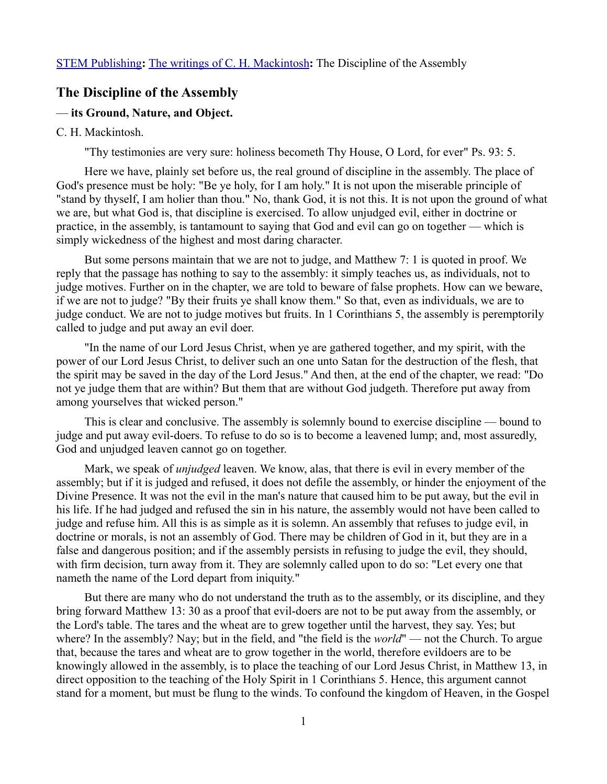## **The Discipline of the Assembly**

## — **its Ground, Nature, and Object.**

## C. H. Mackintosh.

"Thy testimonies are very sure: holiness becometh Thy House, O Lord, for ever" Ps. 93: 5.

Here we have, plainly set before us, the real ground of discipline in the assembly. The place of God's presence must be holy: "Be ye holy, for I am holy." It is not upon the miserable principle of "stand by thyself, I am holier than thou." No, thank God, it is not this. It is not upon the ground of what we are, but what God is, that discipline is exercised. To allow unjudged evil, either in doctrine or practice, in the assembly, is tantamount to saying that God and evil can go on together — which is simply wickedness of the highest and most daring character.

But some persons maintain that we are not to judge, and Matthew 7: 1 is quoted in proof. We reply that the passage has nothing to say to the assembly: it simply teaches us, as individuals, not to judge motives. Further on in the chapter, we are told to beware of false prophets. How can we beware, if we are not to judge? "By their fruits ye shall know them." So that, even as individuals, we are to judge conduct. We are not to judge motives but fruits. In 1 Corinthians 5, the assembly is peremptorily called to judge and put away an evil doer.

"In the name of our Lord Jesus Christ, when ye are gathered together, and my spirit, with the power of our Lord Jesus Christ, to deliver such an one unto Satan for the destruction of the flesh, that the spirit may be saved in the day of the Lord Jesus." And then, at the end of the chapter, we read: "Do not ye judge them that are within? But them that are without God judgeth. Therefore put away from among yourselves that wicked person."

This is clear and conclusive. The assembly is solemnly bound to exercise discipline — bound to judge and put away evil-doers. To refuse to do so is to become a leavened lump; and, most assuredly, God and unjudged leaven cannot go on together.

Mark, we speak of *unjudged* leaven. We know, alas, that there is evil in every member of the assembly; but if it is judged and refused, it does not defile the assembly, or hinder the enjoyment of the Divine Presence. It was not the evil in the man's nature that caused him to be put away, but the evil in his life. If he had judged and refused the sin in his nature, the assembly would not have been called to judge and refuse him. All this is as simple as it is solemn. An assembly that refuses to judge evil, in doctrine or morals, is not an assembly of God. There may be children of God in it, but they are in a false and dangerous position; and if the assembly persists in refusing to judge the evil, they should, with firm decision, turn away from it. They are solemnly called upon to do so: "Let every one that nameth the name of the Lord depart from iniquity."

But there are many who do not understand the truth as to the assembly, or its discipline, and they bring forward Matthew 13: 30 as a proof that evil-doers are not to be put away from the assembly, or the Lord's table. The tares and the wheat are to grew together until the harvest, they say. Yes; but where? In the assembly? Nay; but in the field, and "the field is the *world*" — not the Church. To argue that, because the tares and wheat are to grow together in the world, therefore evildoers are to be knowingly allowed in the assembly, is to place the teaching of our Lord Jesus Christ, in Matthew 13, in direct opposition to the teaching of the Holy Spirit in 1 Corinthians 5. Hence, this argument cannot stand for a moment, but must be flung to the winds. To confound the kingdom of Heaven, in the Gospel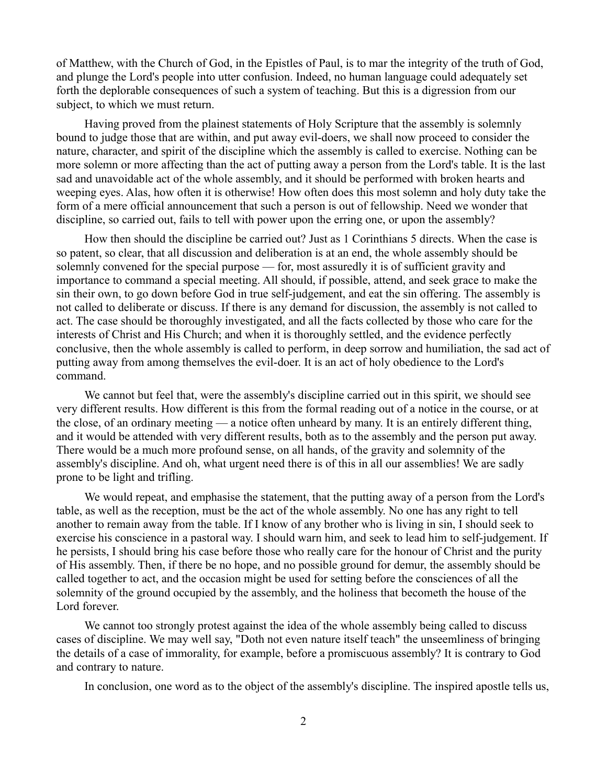of Matthew, with the Church of God, in the Epistles of Paul, is to mar the integrity of the truth of God, and plunge the Lord's people into utter confusion. Indeed, no human language could adequately set forth the deplorable consequences of such a system of teaching. But this is a digression from our subject, to which we must return.

Having proved from the plainest statements of Holy Scripture that the assembly is solemnly bound to judge those that are within, and put away evil-doers, we shall now proceed to consider the nature, character, and spirit of the discipline which the assembly is called to exercise. Nothing can be more solemn or more affecting than the act of putting away a person from the Lord's table. It is the last sad and unavoidable act of the whole assembly, and it should be performed with broken hearts and weeping eyes. Alas, how often it is otherwise! How often does this most solemn and holy duty take the form of a mere official announcement that such a person is out of fellowship. Need we wonder that discipline, so carried out, fails to tell with power upon the erring one, or upon the assembly?

How then should the discipline be carried out? Just as 1 Corinthians 5 directs. When the case is so patent, so clear, that all discussion and deliberation is at an end, the whole assembly should be solemnly convened for the special purpose — for, most assuredly it is of sufficient gravity and importance to command a special meeting. All should, if possible, attend, and seek grace to make the sin their own, to go down before God in true self-judgement, and eat the sin offering. The assembly is not called to deliberate or discuss. If there is any demand for discussion, the assembly is not called to act. The case should be thoroughly investigated, and all the facts collected by those who care for the interests of Christ and His Church; and when it is thoroughly settled, and the evidence perfectly conclusive, then the whole assembly is called to perform, in deep sorrow and humiliation, the sad act of putting away from among themselves the evil-doer. It is an act of holy obedience to the Lord's command.

We cannot but feel that, were the assembly's discipline carried out in this spirit, we should see very different results. How different is this from the formal reading out of a notice in the course, or at the close, of an ordinary meeting — a notice often unheard by many. It is an entirely different thing, and it would be attended with very different results, both as to the assembly and the person put away. There would be a much more profound sense, on all hands, of the gravity and solemnity of the assembly's discipline. And oh, what urgent need there is of this in all our assemblies! We are sadly prone to be light and trifling.

We would repeat, and emphasise the statement, that the putting away of a person from the Lord's table, as well as the reception, must be the act of the whole assembly. No one has any right to tell another to remain away from the table. If I know of any brother who is living in sin, I should seek to exercise his conscience in a pastoral way. I should warn him, and seek to lead him to self-judgement. If he persists, I should bring his case before those who really care for the honour of Christ and the purity of His assembly. Then, if there be no hope, and no possible ground for demur, the assembly should be called together to act, and the occasion might be used for setting before the consciences of all the solemnity of the ground occupied by the assembly, and the holiness that becometh the house of the Lord forever.

We cannot too strongly protest against the idea of the whole assembly being called to discuss cases of discipline. We may well say, "Doth not even nature itself teach" the unseemliness of bringing the details of a case of immorality, for example, before a promiscuous assembly? It is contrary to God and contrary to nature.

In conclusion, one word as to the object of the assembly's discipline. The inspired apostle tells us,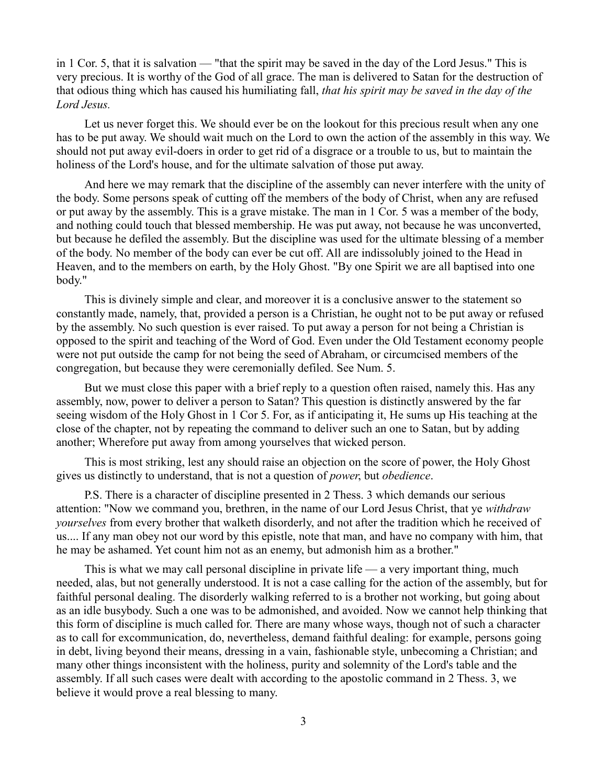in 1 Cor. 5, that it is salvation — "that the spirit may be saved in the day of the Lord Jesus." This is very precious. It is worthy of the God of all grace. The man is delivered to Satan for the destruction of that odious thing which has caused his humiliating fall, *that his spirit may be saved in the day of the Lord Jesus.*

Let us never forget this. We should ever be on the lookout for this precious result when any one has to be put away. We should wait much on the Lord to own the action of the assembly in this way. We should not put away evil-doers in order to get rid of a disgrace or a trouble to us, but to maintain the holiness of the Lord's house, and for the ultimate salvation of those put away.

And here we may remark that the discipline of the assembly can never interfere with the unity of the body. Some persons speak of cutting off the members of the body of Christ, when any are refused or put away by the assembly. This is a grave mistake. The man in 1 Cor. 5 was a member of the body, and nothing could touch that blessed membership. He was put away, not because he was unconverted, but because he defiled the assembly. But the discipline was used for the ultimate blessing of a member of the body. No member of the body can ever be cut off. All are indissolubly joined to the Head in Heaven, and to the members on earth, by the Holy Ghost. "By one Spirit we are all baptised into one body."

This is divinely simple and clear, and moreover it is a conclusive answer to the statement so constantly made, namely, that, provided a person is a Christian, he ought not to be put away or refused by the assembly. No such question is ever raised. To put away a person for not being a Christian is opposed to the spirit and teaching of the Word of God. Even under the Old Testament economy people were not put outside the camp for not being the seed of Abraham, or circumcised members of the congregation, but because they were ceremonially defiled. See Num. 5.

But we must close this paper with a brief reply to a question often raised, namely this. Has any assembly, now, power to deliver a person to Satan? This question is distinctly answered by the far seeing wisdom of the Holy Ghost in 1 Cor 5. For, as if anticipating it, He sums up His teaching at the close of the chapter, not by repeating the command to deliver such an one to Satan, but by adding another; Wherefore put away from among yourselves that wicked person.

This is most striking, lest any should raise an objection on the score of power, the Holy Ghost gives us distinctly to understand, that is not a question of *power*, but *obedience*.

P.S. There is a character of discipline presented in 2 Thess. 3 which demands our serious attention: "Now we command you, brethren, in the name of our Lord Jesus Christ, that ye *withdraw yourselves* from every brother that walketh disorderly, and not after the tradition which he received of us.... If any man obey not our word by this epistle, note that man, and have no company with him, that he may be ashamed. Yet count him not as an enemy, but admonish him as a brother."

This is what we may call personal discipline in private life — a very important thing, much needed, alas, but not generally understood. It is not a case calling for the action of the assembly, but for faithful personal dealing. The disorderly walking referred to is a brother not working, but going about as an idle busybody. Such a one was to be admonished, and avoided. Now we cannot help thinking that this form of discipline is much called for. There are many whose ways, though not of such a character as to call for excommunication, do, nevertheless, demand faithful dealing: for example, persons going in debt, living beyond their means, dressing in a vain, fashionable style, unbecoming a Christian; and many other things inconsistent with the holiness, purity and solemnity of the Lord's table and the assembly. If all such cases were dealt with according to the apostolic command in 2 Thess. 3, we believe it would prove a real blessing to many.